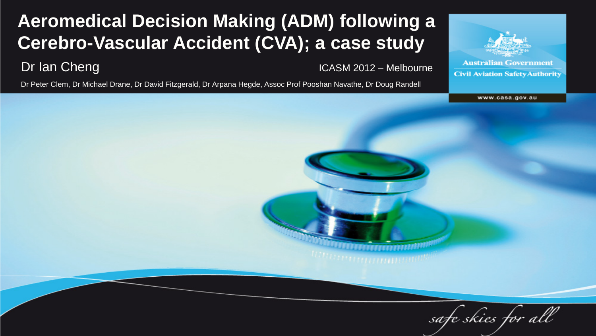#### **Aeromedical Decision Making (ADM) following a Cerebro-Vascular Accident (CVA); a case study**

Dr Ian Cheng ICASM 2012 – Melbourne

Dr Peter Clem, Dr Michael Drane, Dr David Fitzgerald, Dr Arpana Hegde, Assoc Prof Pooshan Navathe, Dr Doug Randell



www.casa.gov.au

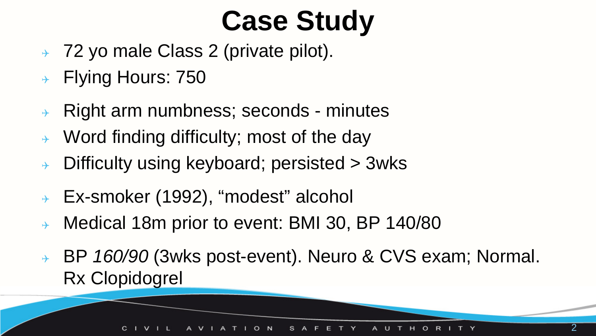## **Case Study**

- → 72 yo male Class 2 (private pilot).
- **→ Flying Hours: 750**
- $\rightarrow$  Right arm numbness; seconds minutes
- $\rightarrow$  Word finding difficulty; most of the day
- $\rightarrow$  Difficulty using keyboard; persisted  $>$  3wks
- Ex-smoker (1992), "modest" alcohol
- → Medical 18m prior to event: BMI 30, BP 140/80
- BP *160/90* (3wks post-event). Neuro & CVS exam; Normal. Rx Clopidogrel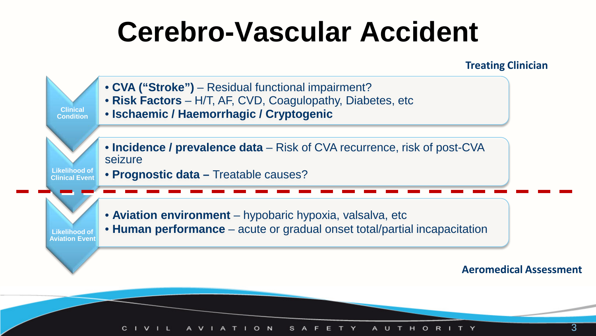## **Cerebro-Vascular Accident**

**Treating Clinician**

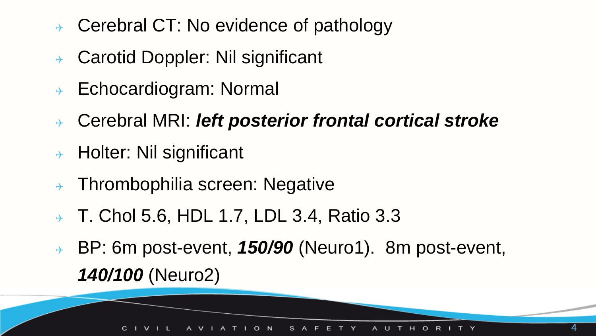- Cerebral CT: No evidence of pathology
- Carotid Doppler: Nil significant
- $\rightarrow$  Echocardiogram: Normal
- Cerebral MRI: *left posterior frontal cortical stroke*
- $\rightarrow$  Holter: Nil significant
- $\rightarrow$  Thrombophilia screen: Negative
- $\rightarrow$  T. Chol 5.6, HDL 1.7, LDL 3.4, Ratio 3.3
- BP: 6m post-event, *150/90* (Neuro1). 8m post-event, *140/100* (Neuro2)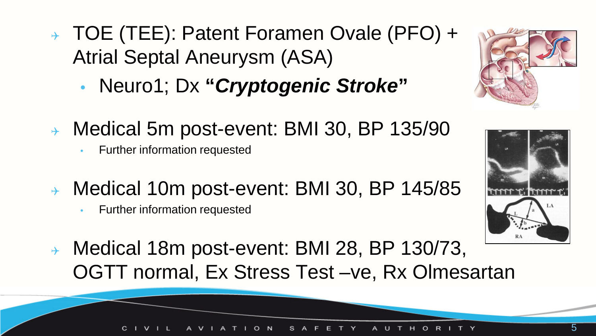- TOE (TEE): Patent Foramen Ovale (PFO) + Atrial Septal Aneurysm (ASA)
	- Neuro1; Dx **"***Cryptogenic Stroke***"**
- Medical 5m post-event: BMI 30, BP 135/90
	- Further information requested
- Medical 10m post-event: BMI 30, BP 145/85
	- Further information requested
- Medical 18m post-event: BMI 28, BP 130/73, OGTT normal, Ex Stress Test –ve, Rx Olmesartan



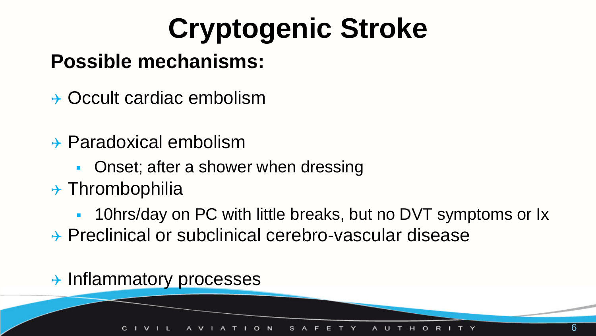## **Cryptogenic Stroke**

### **Possible mechanisms:**

- $\rightarrow$  Occult cardiac embolism
- Paradoxical embolism
	- **Onset; after a shower when dressing**
- $\rightarrow$  Thrombophilia
	- 10hrs/day on PC with little breaks, but no DVT symptoms or Ix
- → Preclinical or subclinical cerebro-vascular disease

#### $\rightarrow$  Inflammatory processes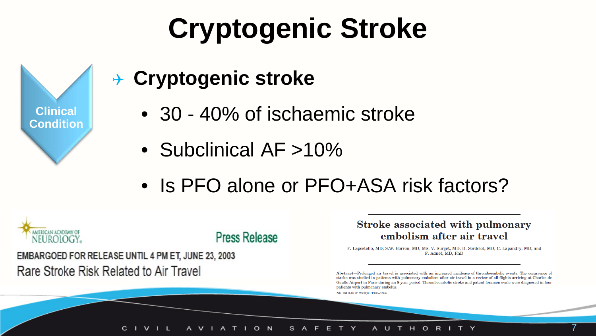## **Cryptogenic Stroke**



### **Cryptogenic stroke**

- 30 40% of ischaemic stroke
- Subclinical AF >10%
- Is PFO alone or PFO+ASA risk factors?



Stroke associated with pulmonary embolism after air travel

F. Lapostolle, MD; S.W. Borron, MD, MS; V. Surget, MD; D. Sordelet, MD; C. Lapandry, MD; and F. Adnet. MD. PhD

Abstract-Prolonged air travel is associated with an increased incidence of thromboembolic events. The occurrence of stroke was studied in patients with pulmonary embolism after air travel in a review of all flights arriving at Charles de Gaulle Airport in Paris during an 8-year period. Thromboembolic stroke and patent foramen ovale were diagnosed in four patients with pulmonary embolus. NEUROLOGY 2003;60:1983-1985

#### с  $\circ$ AUTHORI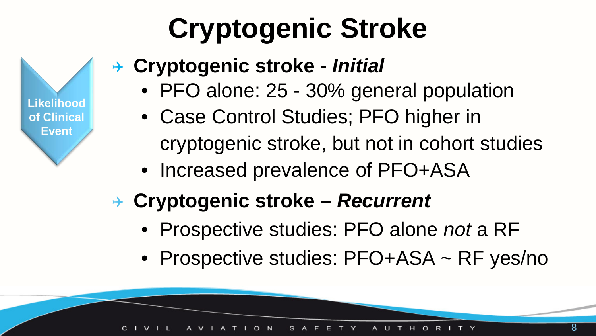# **Cryptogenic Stroke**



### **Cryptogenic stroke -** *Initial*

- PFO alone: 25 30% general population
- Case Control Studies; PFO higher in cryptogenic stroke, but not in cohort studies
- Increased prevalence of PFO+ASA

## **Cryptogenic stroke –** *Recurrent*

- Prospective studies: PFO alone *not* a RF
- Prospective studies: PFO+ASA ~ RF yes/no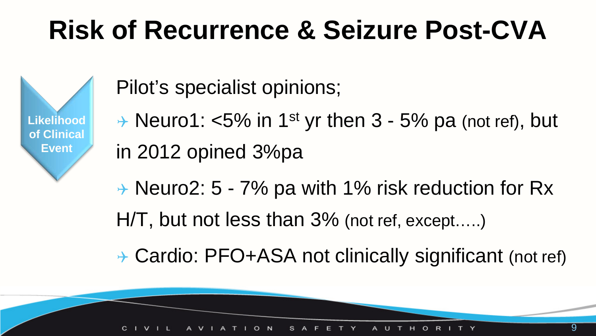## **Risk of Recurrence & Seizure Post-CVA**

**Likelihood of Clinical Event**

Pilot's specialist opinions;

- $\rightarrow$  Neuro1: <5% in 1<sup>st</sup> yr then 3 5% pa (not ref), but in 2012 opined 3%pa
- → Neuro2: 5 7% pa with 1% risk reduction for Rx
- H/T, but not less than 3% (not ref, except…..)
- → Cardio: PFO+ASA not clinically significant (not ref)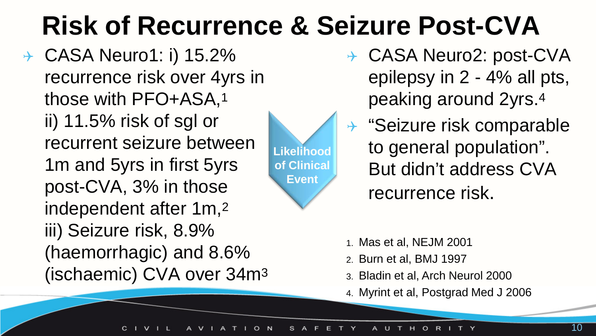## **Risk of Recurrence & Seizure Post-CVA**

**→ CASA Neuro1: i) 15.2%** recurrence risk over 4yrs in those with PFO+ASA,1 ii) 11.5% risk of sgl or recurrent seizure between 1m and 5yrs in first 5yrs post-CVA, 3% in those independent after 1m,2 iii) Seizure risk, 8.9% (haemorrhagic) and 8.6% (ischaemic) CVA over 34m3



- → CASA Neuro2: post-CVA epilepsy in 2 - 4% all pts, peaking around 2yrs.4
- $\rightarrow$  "Seizure risk comparable to general population". But didn't address CVA recurrence risk.
- 1. Mas et al, NEJM 2001
- 2. Burn et al, BMJ 1997
- 3. Bladin et al, Arch Neurol 2000
- 4. Myrint et al, Postgrad Med J 2006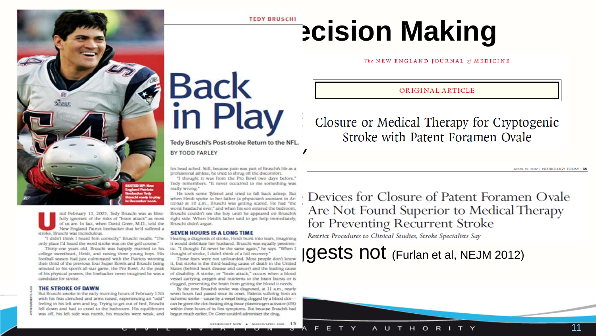

fully agrorant of the risks of "brain attack" as most right side. When Heidi's father said to get help immediately, of us are in fact, when David Greer, M.D., told the Bruschi didn't argue.<br>New England Patrick linebacker t stroke, Bruscht was incredulous.

selected to his sports all-star game, the Pro Bowl. At the peak of his physical powers, the linebacker never imagined he was a of disability. A stroke, or "brain attack," occurs when a blood candidate for stroke.

#### THE STROKE OF DAWN

But Bruscht awoke in the early morning hours of February 15th with his fists clenched and arms raised, experiencing an "odd" feeling in his left arm and leg. Trying to get out of bed, Bruschi fell down and had to crawl to the bathroom. His equilibrium was off, his left side was numb, his muscles were weak, and

## **ADY BRUSCHILL DCISION Making**

ORIGINAL ARTICLE

Closure or Medical Therapy for Cryptogenic<br>Stroke with Patent Foramen Ovale

APRIL 19, 2012 | NEUROLOGY TODAY | 35

his head ached. Still, because pain was part of Bruschi's life as a professional athlete, he tried to shrug off the discomfort. "I thought it was from the Pro Bowl two days before,"

Tedy remembers. "It never occurred to me something was really wrong."

He took some Tylenol and tried to fall back asleep. But

States (behind heart disease and cancer) and the leading cause vessel carrying oxygen and nutrients to the brain bursts or is clogged, preventing the brain from getting the blood it needs.

By the time Bruschils stroke was diagnosed, at 11 a.m., nearly seven hours had passed since its orset. Patients suffering from an ischemic stroke-cause by a vessel being clopped by a blood clotcan be given the clot-busting drug tissue plasminogen activator (tPA) within three hours of its first symptoms. But because Bruschi's had begun much earlier. Dr. Greer couldn't administer the drug.

When Helds spoke to her flather (a physiciana kassacan in Astrope Bruschi and The cook some and the risk assession, in Astrope Bruschi Was as bliss-<br>Hanna) at 10 a.m., Bruschi was getting scared. He had "the **Devices for C** for Preventing Recurrent Stroke

Restrict Procedures to Clinical Studies, Stroke Specialists Say

only place I'd heard the word stroke was on the golf counse."<br>
This would debituate her husband. Bruschi was equally pessimis-<br>
College sweetheart, Heidi, and raising there young boys. His thought of stroke, it disht think

A U T H O R I T Y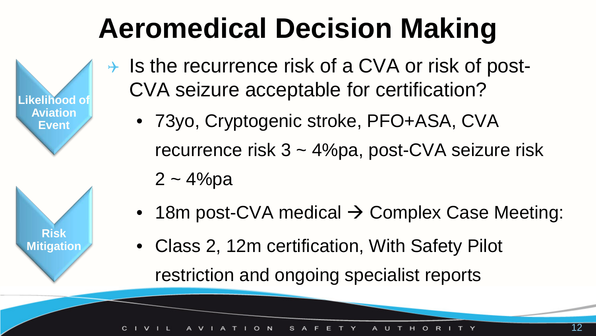## **Aeromedical Decision Making**

**Likelihood o Aviation Event Risk Mitigation**

- $\rightarrow$  Is the recurrence risk of a CVA or risk of post-CVA seizure acceptable for certification?
	- 73yo, Cryptogenic stroke, PFO+ASA, CVA recurrence risk 3 ~ 4%pa, post-CVA seizure risk
		- $2 4%pa$
	- 18m post-CVA medical  $\rightarrow$  Complex Case Meeting:
	- Class 2, 12m certification, With Safety Pilot restriction and ongoing specialist reports